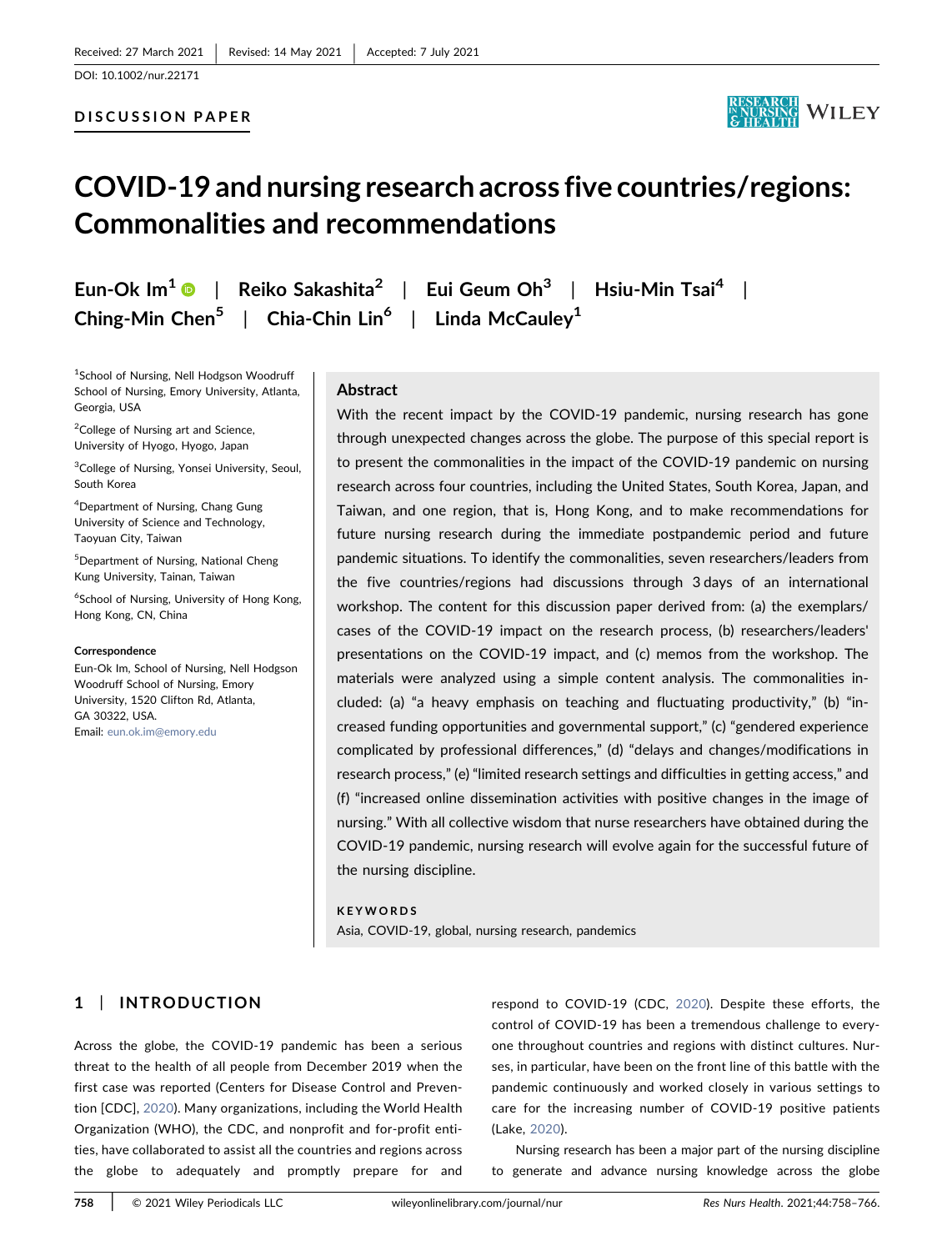#### DISCUSSION PAPER



# COVID‐19 and nursing research across five countries/regions: Commonalities and recommendations

Eun-Ok Im<sup>[1](https://orcid.org/0000-0002-7253-7996)</sup> | Reiko Sakashita<sup>2</sup> | Eui Geum Oh<sup>3</sup> | Hsiu-Min Tsai<sup>4</sup> | Ching-Min Chen<sup>5</sup> | Chia-Chin Lin<sup>6</sup> | Linda McCauley<sup>1</sup>

1 School of Nursing, Nell Hodgson Woodruff School of Nursing, Emory University, Atlanta, Georgia, USA

<sup>2</sup>College of Nursing art and Science, University of Hyogo, Hyogo, Japan

<sup>3</sup>College of Nursing, Yonsei University, Seoul, South Korea

4 Department of Nursing, Chang Gung University of Science and Technology, Taoyuan City, Taiwan

5 Department of Nursing, National Cheng Kung University, Tainan, Taiwan

6 School of Nursing, University of Hong Kong, Hong Kong, CN, China

#### Correspondence

Eun‐Ok Im, School of Nursing, Nell Hodgson Woodruff School of Nursing, Emory University, 1520 Clifton Rd, Atlanta, GA 30322, USA. Email: [eun.ok.im@emory.edu](mailto:eun.ok.im@emory.edu)

#### Abstract

With the recent impact by the COVID-19 pandemic, nursing research has gone through unexpected changes across the globe. The purpose of this special report is to present the commonalities in the impact of the COVID‐19 pandemic on nursing research across four countries, including the United States, South Korea, Japan, and Taiwan, and one region, that is, Hong Kong, and to make recommendations for future nursing research during the immediate postpandemic period and future pandemic situations. To identify the commonalities, seven researchers/leaders from the five countries/regions had discussions through 3 days of an international workshop. The content for this discussion paper derived from: (a) the exemplars/ cases of the COVID‐19 impact on the research process, (b) researchers/leaders' presentations on the COVID‐19 impact, and (c) memos from the workshop. The materials were analyzed using a simple content analysis. The commonalities included: (a) "a heavy emphasis on teaching and fluctuating productivity," (b) "increased funding opportunities and governmental support," (c) "gendered experience complicated by professional differences," (d) "delays and changes/modifications in research process," (e) "limited research settings and difficulties in getting access," and (f) "increased online dissemination activities with positive changes in the image of nursing." With all collective wisdom that nurse researchers have obtained during the COVID‐19 pandemic, nursing research will evolve again for the successful future of the nursing discipline.

#### KEYWORDS

Asia, COVID‐19, global, nursing research, pandemics

# 1 | INTRODUCTION

Across the globe, the COVID‐19 pandemic has been a serious threat to the health of all people from December 2019 when the first case was reported (Centers for Disease Control and Prevention [CDC], [2020\)](#page-8-0). Many organizations, including the World Health Organization (WHO), the CDC, and nonprofit and for‐profit entities, have collaborated to assist all the countries and regions across the globe to adequately and promptly prepare for and

respond to COVID‐19 (CDC, [2020\)](#page-8-0). Despite these efforts, the control of COVID‐19 has been a tremendous challenge to everyone throughout countries and regions with distinct cultures. Nurses, in particular, have been on the front line of this battle with the pandemic continuously and worked closely in various settings to care for the increasing number of COVID‐19 positive patients (Lake, [2020\)](#page-8-1).

Nursing research has been a major part of the nursing discipline to generate and advance nursing knowledge across the globe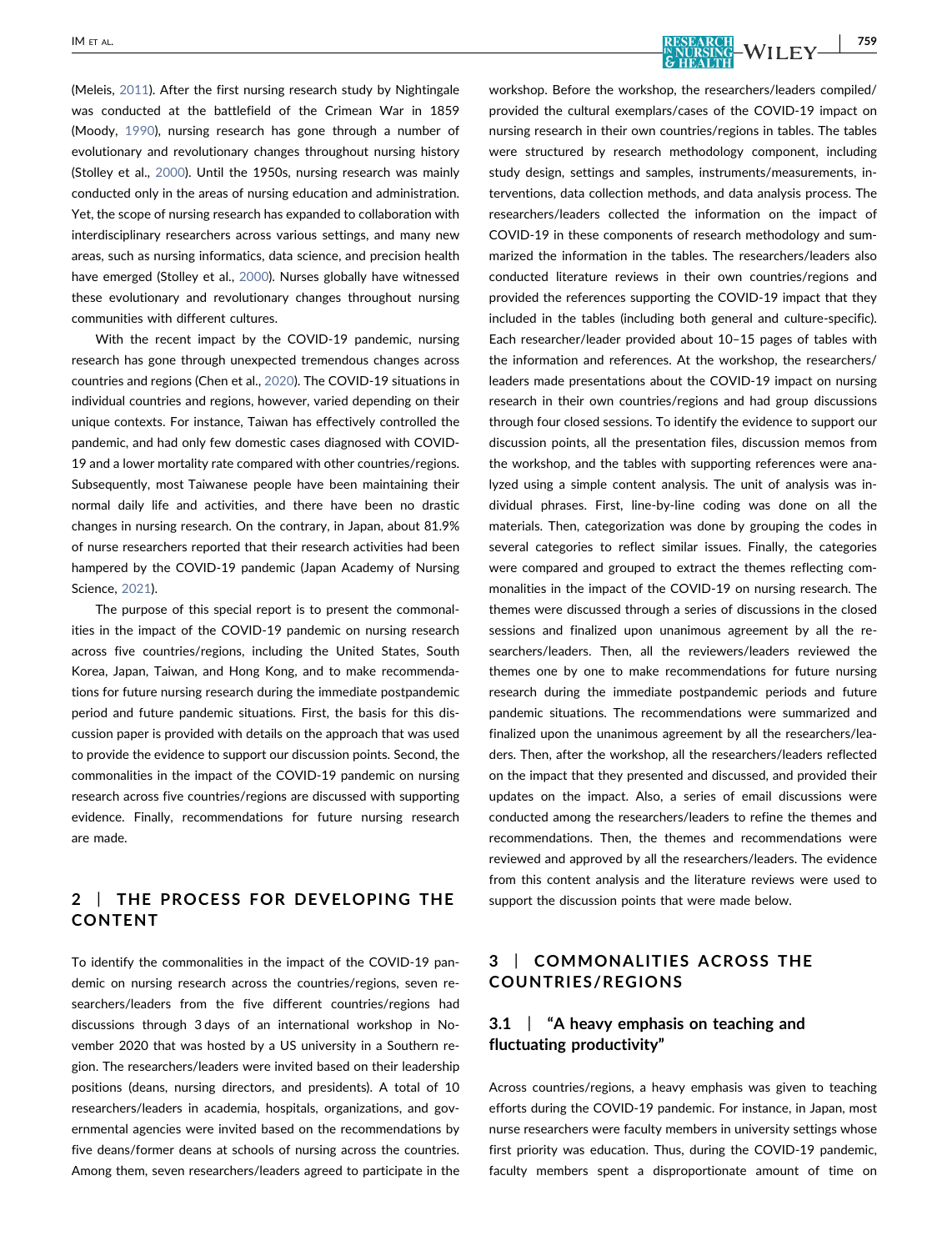(Meleis, [2011](#page-8-2)). After the first nursing research study by Nightingale was conducted at the battlefield of the Crimean War in 1859 (Moody, [1990\)](#page-8-3), nursing research has gone through a number of evolutionary and revolutionary changes throughout nursing history (Stolley et al., [2000\)](#page-8-4). Until the 1950s, nursing research was mainly conducted only in the areas of nursing education and administration. Yet, the scope of nursing research has expanded to collaboration with interdisciplinary researchers across various settings, and many new areas, such as nursing informatics, data science, and precision health have emerged (Stolley et al., [2000](#page-8-4)). Nurses globally have witnessed these evolutionary and revolutionary changes throughout nursing communities with different cultures.

With the recent impact by the COVID‐19 pandemic, nursing research has gone through unexpected tremendous changes across countries and regions (Chen et al., [2020](#page-8-5)). The COVID‐19 situations in individual countries and regions, however, varied depending on their unique contexts. For instance, Taiwan has effectively controlled the pandemic, and had only few domestic cases diagnosed with COVID‐ 19 and a lower mortality rate compared with other countries/regions. Subsequently, most Taiwanese people have been maintaining their normal daily life and activities, and there have been no drastic changes in nursing research. On the contrary, in Japan, about 81.9% of nurse researchers reported that their research activities had been hampered by the COVID‐19 pandemic (Japan Academy of Nursing Science, [2021\)](#page-8-6).

The purpose of this special report is to present the commonalities in the impact of the COVID‐19 pandemic on nursing research across five countries/regions, including the United States, South Korea, Japan, Taiwan, and Hong Kong, and to make recommendations for future nursing research during the immediate postpandemic period and future pandemic situations. First, the basis for this discussion paper is provided with details on the approach that was used to provide the evidence to support our discussion points. Second, the commonalities in the impact of the COVID‐19 pandemic on nursing research across five countries/regions are discussed with supporting evidence. Finally, recommendations for future nursing research are made.

# 2 | THE PROCESS FOR DEVELOPING THE CONTENT

To identify the commonalities in the impact of the COVID‐19 pandemic on nursing research across the countries/regions, seven researchers/leaders from the five different countries/regions had discussions through 3 days of an international workshop in November 2020 that was hosted by a US university in a Southern region. The researchers/leaders were invited based on their leadership positions (deans, nursing directors, and presidents). A total of 10 researchers/leaders in academia, hospitals, organizations, and governmental agencies were invited based on the recommendations by five deans/former deans at schools of nursing across the countries. Among them, seven researchers/leaders agreed to participate in the workshop. Before the workshop, the researchers/leaders compiled/ provided the cultural exemplars/cases of the COVID‐19 impact on nursing research in their own countries/regions in tables. The tables were structured by research methodology component, including study design, settings and samples, instruments/measurements, interventions, data collection methods, and data analysis process. The researchers/leaders collected the information on the impact of COVID‐19 in these components of research methodology and summarized the information in the tables. The researchers/leaders also conducted literature reviews in their own countries/regions and provided the references supporting the COVID‐19 impact that they included in the tables (including both general and culture‐specific). Each researcher/leader provided about 10–15 pages of tables with the information and references. At the workshop, the researchers/ leaders made presentations about the COVID‐19 impact on nursing research in their own countries/regions and had group discussions through four closed sessions. To identify the evidence to support our discussion points, all the presentation files, discussion memos from the workshop, and the tables with supporting references were analyzed using a simple content analysis. The unit of analysis was individual phrases. First, line‐by‐line coding was done on all the materials. Then, categorization was done by grouping the codes in several categories to reflect similar issues. Finally, the categories were compared and grouped to extract the themes reflecting commonalities in the impact of the COVID‐19 on nursing research. The themes were discussed through a series of discussions in the closed sessions and finalized upon unanimous agreement by all the researchers/leaders. Then, all the reviewers/leaders reviewed the themes one by one to make recommendations for future nursing research during the immediate postpandemic periods and future pandemic situations. The recommendations were summarized and finalized upon the unanimous agreement by all the researchers/leaders. Then, after the workshop, all the researchers/leaders reflected on the impact that they presented and discussed, and provided their updates on the impact. Also, a series of email discussions were conducted among the researchers/leaders to refine the themes and recommendations. Then, the themes and recommendations were

reviewed and approved by all the researchers/leaders. The evidence from this content analysis and the literature reviews were used to support the discussion points that were made below.

# 3 | COMMONALITIES ACROSS THE COUNTRIES/REGIONS

# 3.1 | "A heavy emphasis on teaching and fluctuating productivity"

Across countries/regions, a heavy emphasis was given to teaching efforts during the COVID‐19 pandemic. For instance, in Japan, most nurse researchers were faculty members in university settings whose first priority was education. Thus, during the COVID‐19 pandemic, faculty members spent a disproportionate amount of time on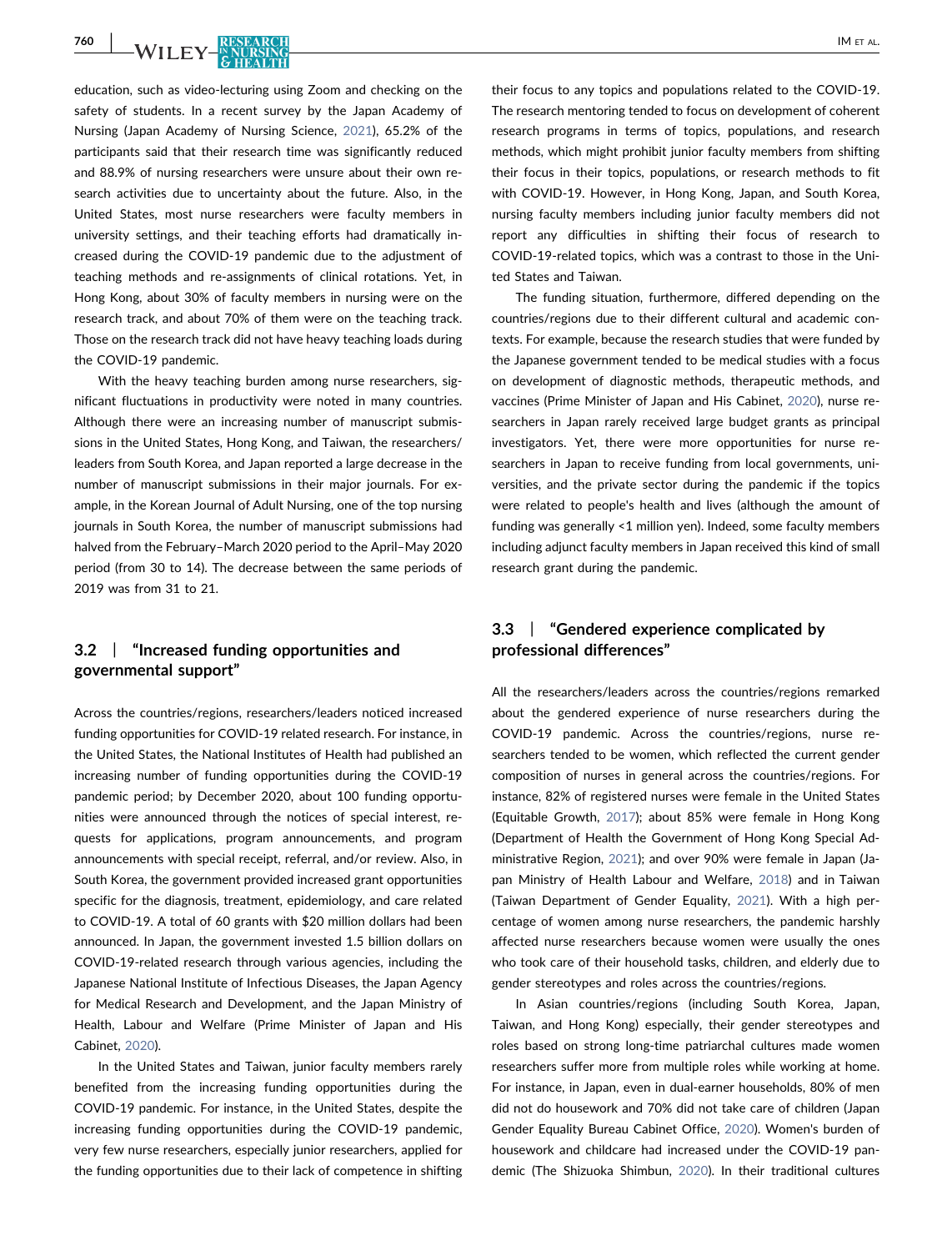**760 | WILEY-FREEARCH | IM ET AL.** 

education, such as video‐lecturing using Zoom and checking on the safety of students. In a recent survey by the Japan Academy of Nursing (Japan Academy of Nursing Science, [2021](#page-8-6)), 65.2% of the participants said that their research time was significantly reduced and 88.9% of nursing researchers were unsure about their own research activities due to uncertainty about the future. Also, in the United States, most nurse researchers were faculty members in university settings, and their teaching efforts had dramatically increased during the COVID‐19 pandemic due to the adjustment of teaching methods and re‐assignments of clinical rotations. Yet, in Hong Kong, about 30% of faculty members in nursing were on the research track, and about 70% of them were on the teaching track. Those on the research track did not have heavy teaching loads during the COVID‐19 pandemic.

With the heavy teaching burden among nurse researchers, significant fluctuations in productivity were noted in many countries. Although there were an increasing number of manuscript submissions in the United States, Hong Kong, and Taiwan, the researchers/ leaders from South Korea, and Japan reported a large decrease in the number of manuscript submissions in their major journals. For example, in the Korean Journal of Adult Nursing, one of the top nursing journals in South Korea, the number of manuscript submissions had halved from the February–March 2020 period to the April–May 2020 period (from 30 to 14). The decrease between the same periods of 2019 was from 31 to 21.

#### 3.2 | "Increased funding opportunities and governmental support"

Across the countries/regions, researchers/leaders noticed increased funding opportunities for COVID‐19 related research. For instance, in the United States, the National Institutes of Health had published an increasing number of funding opportunities during the COVID‐19 pandemic period; by December 2020, about 100 funding opportunities were announced through the notices of special interest, requests for applications, program announcements, and program announcements with special receipt, referral, and/or review. Also, in South Korea, the government provided increased grant opportunities specific for the diagnosis, treatment, epidemiology, and care related to COVID‐19. A total of 60 grants with \$20 million dollars had been announced. In Japan, the government invested 1.5 billion dollars on COVID‐19‐related research through various agencies, including the Japanese National Institute of Infectious Diseases, the Japan Agency for Medical Research and Development, and the Japan Ministry of Health, Labour and Welfare (Prime Minister of Japan and His Cabinet, [2020\)](#page-8-7).

In the United States and Taiwan, junior faculty members rarely benefited from the increasing funding opportunities during the COVID‐19 pandemic. For instance, in the United States, despite the increasing funding opportunities during the COVID‐19 pandemic, very few nurse researchers, especially junior researchers, applied for the funding opportunities due to their lack of competence in shifting their focus to any topics and populations related to the COVID‐19. The research mentoring tended to focus on development of coherent research programs in terms of topics, populations, and research methods, which might prohibit junior faculty members from shifting their focus in their topics, populations, or research methods to fit with COVID‐19. However, in Hong Kong, Japan, and South Korea, nursing faculty members including junior faculty members did not report any difficulties in shifting their focus of research to COVID‐19‐related topics, which was a contrast to those in the United States and Taiwan.

The funding situation, furthermore, differed depending on the countries/regions due to their different cultural and academic contexts. For example, because the research studies that were funded by the Japanese government tended to be medical studies with a focus on development of diagnostic methods, therapeutic methods, and vaccines (Prime Minister of Japan and His Cabinet, [2020](#page-8-7)), nurse researchers in Japan rarely received large budget grants as principal investigators. Yet, there were more opportunities for nurse researchers in Japan to receive funding from local governments, universities, and the private sector during the pandemic if the topics were related to people's health and lives (although the amount of funding was generally <1 million yen). Indeed, some faculty members including adjunct faculty members in Japan received this kind of small research grant during the pandemic.

#### 3.3 | "Gendered experience complicated by professional differences"

All the researchers/leaders across the countries/regions remarked about the gendered experience of nurse researchers during the COVID‐19 pandemic. Across the countries/regions, nurse researchers tended to be women, which reflected the current gender composition of nurses in general across the countries/regions. For instance, 82% of registered nurses were female in the United States (Equitable Growth, [2017\)](#page-8-8); about 85% were female in Hong Kong (Department of Health the Government of Hong Kong Special Administrative Region, [2021](#page-8-9)); and over 90% were female in Japan (Japan Ministry of Health Labour and Welfare, [2018](#page-8-10)) and in Taiwan (Taiwan Department of Gender Equality, [2021\)](#page-8-11). With a high percentage of women among nurse researchers, the pandemic harshly affected nurse researchers because women were usually the ones who took care of their household tasks, children, and elderly due to gender stereotypes and roles across the countries/regions.

In Asian countries/regions (including South Korea, Japan, Taiwan, and Hong Kong) especially, their gender stereotypes and roles based on strong long‐time patriarchal cultures made women researchers suffer more from multiple roles while working at home. For instance, in Japan, even in dual‐earner households, 80% of men did not do housework and 70% did not take care of children (Japan Gender Equality Bureau Cabinet Office, [2020\)](#page-8-12). Women's burden of housework and childcare had increased under the COVID‐19 pandemic (The Shizuoka Shimbun, [2020](#page-8-13)). In their traditional cultures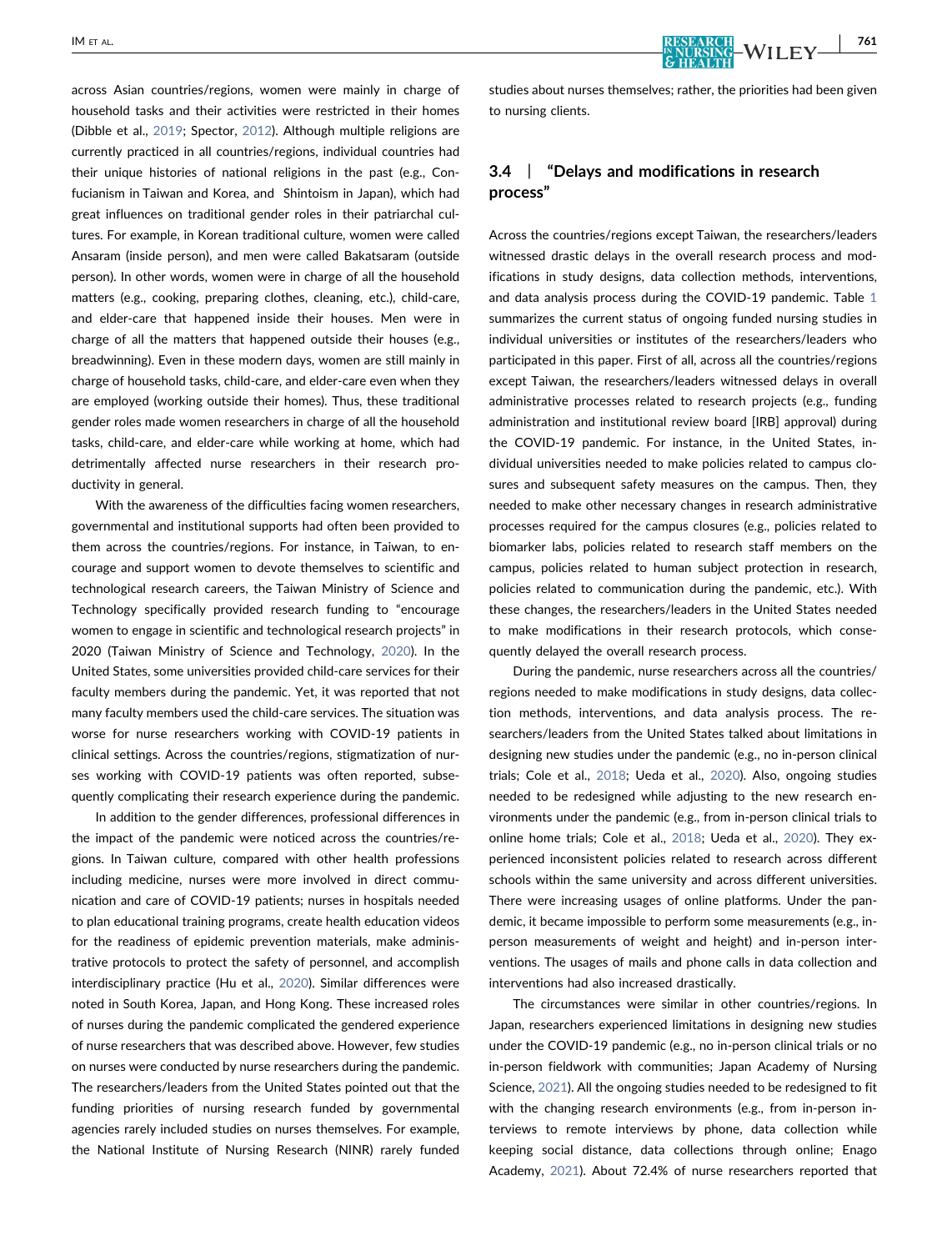across Asian countries/regions, women were mainly in charge of household tasks and their activities were restricted in their homes (Dibble et al., [2019](#page-8-14); Spector, [2012](#page-8-15)). Although multiple religions are currently practiced in all countries/regions, individual countries had their unique histories of national religions in the past (e.g., Confucianism in Taiwan and Korea, and Shintoism in Japan), which had great influences on traditional gender roles in their patriarchal cultures. For example, in Korean traditional culture, women were called Ansaram (inside person), and men were called Bakatsaram (outside person). In other words, women were in charge of all the household matters (e.g., cooking, preparing clothes, cleaning, etc.), child‐care, and elder-care that happened inside their houses. Men were in charge of all the matters that happened outside their houses (e.g., breadwinning). Even in these modern days, women are still mainly in charge of household tasks, child‐care, and elder‐care even when they are employed (working outside their homes). Thus, these traditional gender roles made women researchers in charge of all the household tasks, child‐care, and elder‐care while working at home, which had detrimentally affected nurse researchers in their research productivity in general.

With the awareness of the difficulties facing women researchers, governmental and institutional supports had often been provided to them across the countries/regions. For instance, in Taiwan, to encourage and support women to devote themselves to scientific and technological research careers, the Taiwan Ministry of Science and Technology specifically provided research funding to "encourage women to engage in scientific and technological research projects" in 2020 (Taiwan Ministry of Science and Technology, [2020](#page-8-16)). In the United States, some universities provided child‐care services for their faculty members during the pandemic. Yet, it was reported that not many faculty members used the child‐care services. The situation was worse for nurse researchers working with COVID‐19 patients in clinical settings. Across the countries/regions, stigmatization of nurses working with COVID‐19 patients was often reported, subsequently complicating their research experience during the pandemic.

In addition to the gender differences, professional differences in the impact of the pandemic were noticed across the countries/regions. In Taiwan culture, compared with other health professions including medicine, nurses were more involved in direct communication and care of COVID‐19 patients; nurses in hospitals needed to plan educational training programs, create health education videos for the readiness of epidemic prevention materials, make administrative protocols to protect the safety of personnel, and accomplish interdisciplinary practice (Hu et al., [2020](#page-8-17)). Similar differences were noted in South Korea, Japan, and Hong Kong. These increased roles of nurses during the pandemic complicated the gendered experience of nurse researchers that was described above. However, few studies on nurses were conducted by nurse researchers during the pandemic. The researchers/leaders from the United States pointed out that the funding priorities of nursing research funded by governmental agencies rarely included studies on nurses themselves. For example, the National Institute of Nursing Research (NINR) rarely funded studies about nurses themselves; rather, the priorities had been given to nursing clients.

# 3.4 | "Delays and modifications in research process"

Across the countries/regions except Taiwan, the researchers/leaders witnessed drastic delays in the overall research process and modifications in study designs, data collection methods, interventions, and data analysis process during the COVID-[1](#page-4-0)9 pandemic. Table 1 summarizes the current status of ongoing funded nursing studies in individual universities or institutes of the researchers/leaders who participated in this paper. First of all, across all the countries/regions except Taiwan, the researchers/leaders witnessed delays in overall administrative processes related to research projects (e.g., funding administration and institutional review board [IRB] approval) during the COVID‐19 pandemic. For instance, in the United States, individual universities needed to make policies related to campus closures and subsequent safety measures on the campus. Then, they needed to make other necessary changes in research administrative processes required for the campus closures (e.g., policies related to biomarker labs, policies related to research staff members on the campus, policies related to human subject protection in research, policies related to communication during the pandemic, etc.). With these changes, the researchers/leaders in the United States needed to make modifications in their research protocols, which consequently delayed the overall research process.

During the pandemic, nurse researchers across all the countries/ regions needed to make modifications in study designs, data collection methods, interventions, and data analysis process. The researchers/leaders from the United States talked about limitations in designing new studies under the pandemic (e.g., no in‐person clinical trials; Cole et al., [2018;](#page-8-18) Ueda et al., [2020\)](#page-8-19). Also, ongoing studies needed to be redesigned while adjusting to the new research environments under the pandemic (e.g., from in‐person clinical trials to online home trials; Cole et al., [2018;](#page-8-18) Ueda et al., [2020\)](#page-8-19). They experienced inconsistent policies related to research across different schools within the same university and across different universities. There were increasing usages of online platforms. Under the pandemic, it became impossible to perform some measurements (e.g., in‐ person measurements of weight and height) and in‐person interventions. The usages of mails and phone calls in data collection and interventions had also increased drastically.

The circumstances were similar in other countries/regions. In Japan, researchers experienced limitations in designing new studies under the COVID‐19 pandemic (e.g., no in‐person clinical trials or no in-person fieldwork with communities; Japan Academy of Nursing Science, [2021](#page-8-6)). All the ongoing studies needed to be redesigned to fit with the changing research environments (e.g., from in‐person interviews to remote interviews by phone, data collection while keeping social distance, data collections through online; Enago Academy, [2021\)](#page-8-20). About 72.4% of nurse researchers reported that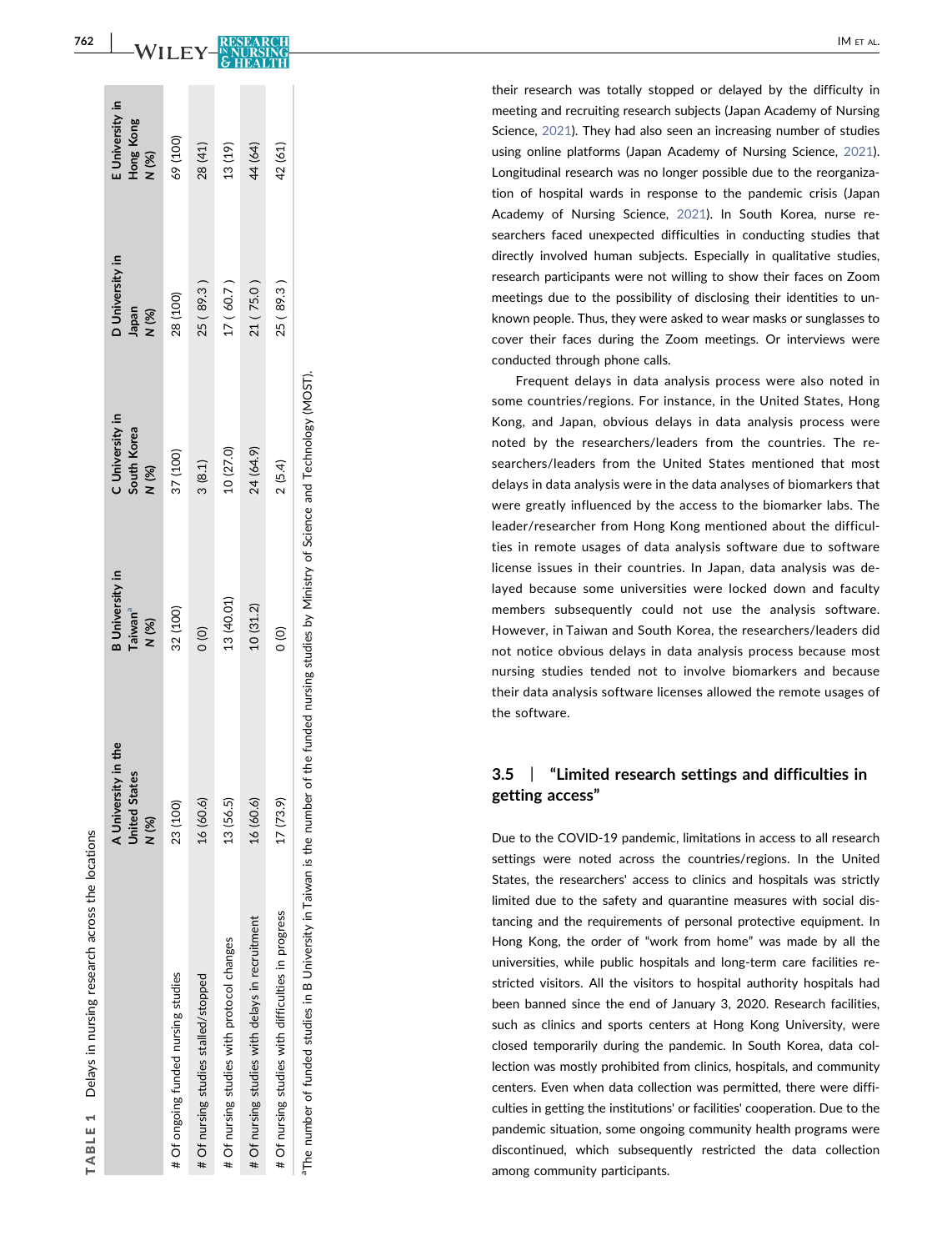<span id="page-4-0"></span>

|                                                                                   | A University in the<br><b>United States</b><br>N (%) | <b>B</b> University in<br>Taiwan <sup>a</sup><br>N (%)                      | C University in<br>South Korea<br>N (%) | D University in<br>(%) N<br>M (%) | : University in<br>Hong Kong<br>N (%) |
|-----------------------------------------------------------------------------------|------------------------------------------------------|-----------------------------------------------------------------------------|-----------------------------------------|-----------------------------------|---------------------------------------|
| # Of ongoing funded nursing studies                                               | 23 (100)                                             | 32 (100)                                                                    | 37 (100)                                | 28 (100)                          | 69 (100)                              |
| # Of nursing studies stalled/stopped                                              | 16 (60.6)                                            | $\frac{1}{2}$                                                               | 3(8.1)                                  | 25 (89.3)                         | 28 (41)                               |
| # Of nursing studies with protocol changes                                        | 13 (56.5)                                            | 13 (40.01)                                                                  | 10 (27.0)                               | 17(60.7)                          | 13 (19)                               |
| # Of nursing studies with delays in recruitment                                   | 16 (60.6)                                            | 10(31.2)                                                                    | 24 (64.9)                               | 21 (75.0)                         | 44 (64)                               |
| # Of nursing studies with difficulties in progress                                | 17(73.9)                                             | $\frac{1}{2}$                                                               | 2(5.4)                                  | 25 (89.3)                         | 42 (61)                               |
| <sup>a</sup> The number of funded studies in B University in Taiwan is the number |                                                      | of the funded nursing studies by Ministry of Science and Technology (MOST). |                                         |                                   |                                       |

TABLE 1

TABLE<sub>1</sub>

Delays in nursing research across the locations

Delays in nursing research across the locations

their research was totally stopped or delayed by the difficulty in meeting and recruiting research subjects (Japan Academy of Nursing Science, [2021\)](#page-8-6). They had also seen an increasing number of studies using online platforms (Japan Academy of Nursing Science, [2021](#page-8-6)). Longitudinal research was no longer possible due to the reorganization of hospital wards in response to the pandemic crisis (Japan Academy of Nursing Science, [2021](#page-8-6)). In South Korea, nurse researchers faced unexpected difficulties in conducting studies that directly involved human subjects. Especially in qualitative studies, research participants were not willing to show their faces on Zoom meetings due to the possibility of disclosing their identities to unknown people. Thus, they were asked to wear masks or sunglasses to cover their faces during the Zoom meetings. Or interviews were conducted through phone calls.

Frequent delays in data analysis process were also noted in some countries/regions. For instance, in the United States, Hong Kong, and Japan, obvious delays in data analysis process were noted by the researchers/leaders from the countries. The researchers/leaders from the United States mentioned that most delays in data analysis were in the data analyses of biomarkers that were greatly influenced by the access to the biomarker labs. The leader/researcher from Hong Kong mentioned about the difficulties in remote usages of data analysis software due to software license issues in their countries. In Japan, data analysis was delayed because some universities were locked down and faculty members subsequently could not use the analysis software. However, in Taiwan and South Korea, the researchers/leaders did not notice obvious delays in data analysis process because most nursing studies tended not to involve biomarkers and because their data analysis software licenses allowed the remote usages of the software.

#### 3.5  $\perp$ "Limited research settings and difficulties in getting access "

Due to the COVID ‐19 pandemic, limitations in access to all research settings were noted across the countries/regions. In the United States, the researchers' access to clinics and hospitals was strictly limited due to the safety and quarantine measures with social distancing and the requirements of personal protective equipment. In Hong Kong, the order of "work from home " was made by all the universities, while public hospitals and long ‐term care facilities restricted visitors. All the visitors to hospital authority hospitals had been banned since the end of January 3, 2020. Research facilities, such as clinics and sports centers at Hong Kong University, were closed temporarily during the pandemic. In South Korea, data collection was mostly prohibited from clinics, hospitals, and community centers. Even when data collection was permitted, there were difficulties in getting the institutions' or facilities' cooperation. Due to the pandemic situation, some ongoing community health programs were discontinued, which subsequently restricted the data collection among community participants.

<span id="page-4-1"></span>WILEY-RESEA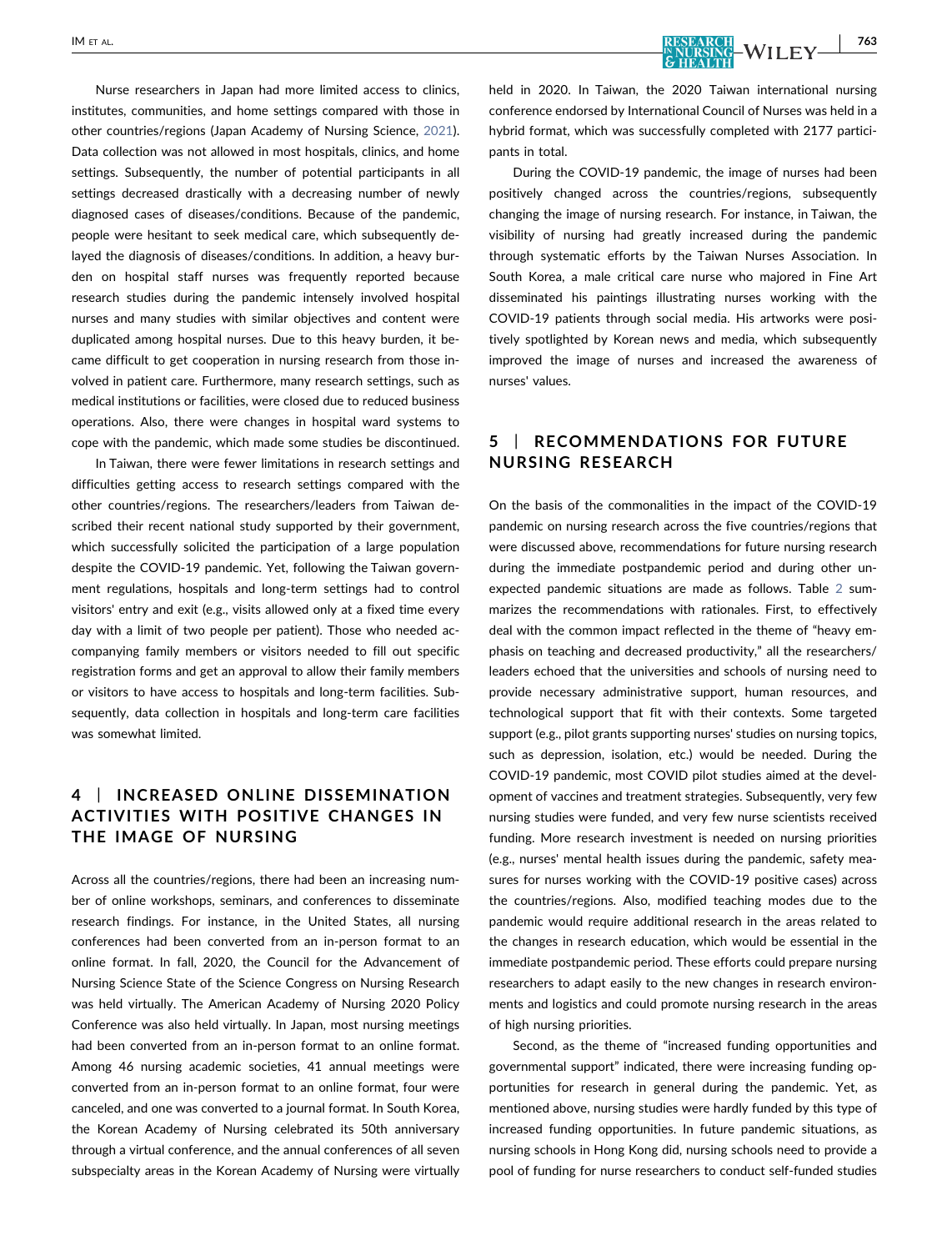Nurse researchers in Japan had more limited access to clinics, institutes, communities, and home settings compared with those in other countries/regions (Japan Academy of Nursing Science, [2021\)](#page-8-6). Data collection was not allowed in most hospitals, clinics, and home settings. Subsequently, the number of potential participants in all settings decreased drastically with a decreasing number of newly diagnosed cases of diseases/conditions. Because of the pandemic, people were hesitant to seek medical care, which subsequently delayed the diagnosis of diseases/conditions. In addition, a heavy burden on hospital staff nurses was frequently reported because research studies during the pandemic intensely involved hospital nurses and many studies with similar objectives and content were duplicated among hospital nurses. Due to this heavy burden, it became difficult to get cooperation in nursing research from those involved in patient care. Furthermore, many research settings, such as medical institutions or facilities, were closed due to reduced business operations. Also, there were changes in hospital ward systems to cope with the pandemic, which made some studies be discontinued.

In Taiwan, there were fewer limitations in research settings and difficulties getting access to research settings compared with the other countries/regions. The researchers/leaders from Taiwan described their recent national study supported by their government, which successfully solicited the participation of a large population despite the COVID‐19 pandemic. Yet, following the Taiwan government regulations, hospitals and long‐term settings had to control visitors' entry and exit (e.g., visits allowed only at a fixed time every day with a limit of two people per patient). Those who needed accompanying family members or visitors needed to fill out specific registration forms and get an approval to allow their family members or visitors to have access to hospitals and long‐term facilities. Subsequently, data collection in hospitals and long-term care facilities was somewhat limited.

# 4 | INCREASED ONLINE DISSEMINATION ACTIVITIES WITH POSITIVE CHANGES IN THE IMAGE OF NURSING

Across all the countries/regions, there had been an increasing number of online workshops, seminars, and conferences to disseminate research findings. For instance, in the United States, all nursing conferences had been converted from an in‐person format to an online format. In fall, 2020, the Council for the Advancement of Nursing Science State of the Science Congress on Nursing Research was held virtually. The American Academy of Nursing 2020 Policy Conference was also held virtually. In Japan, most nursing meetings had been converted from an in-person format to an online format. Among 46 nursing academic societies, 41 annual meetings were converted from an in‐person format to an online format, four were canceled, and one was converted to a journal format. In South Korea, the Korean Academy of Nursing celebrated its 50th anniversary through a virtual conference, and the annual conferences of all seven subspecialty areas in the Korean Academy of Nursing were virtually held in 2020. In Taiwan, the 2020 Taiwan international nursing conference endorsed by International Council of Nurses was held in a hybrid format, which was successfully completed with 2177 participants in total.

During the COVID‐19 pandemic, the image of nurses had been positively changed across the countries/regions, subsequently changing the image of nursing research. For instance, in Taiwan, the visibility of nursing had greatly increased during the pandemic through systematic efforts by the Taiwan Nurses Association. In South Korea, a male critical care nurse who majored in Fine Art disseminated his paintings illustrating nurses working with the COVID‐19 patients through social media. His artworks were positively spotlighted by Korean news and media, which subsequently improved the image of nurses and increased the awareness of nurses' values.

# 5 | RECOMMENDATIONS FOR FUTURE NURSING RESEARCH

On the basis of the commonalities in the impact of the COVID‐19 pandemic on nursing research across the five countries/regions that were discussed above, recommendations for future nursing research during the immediate postpandemic period and during other unexpected pandemic situations are made as follows. Table [2](#page-6-0) summarizes the recommendations with rationales. First, to effectively deal with the common impact reflected in the theme of "heavy emphasis on teaching and decreased productivity," all the researchers/ leaders echoed that the universities and schools of nursing need to provide necessary administrative support, human resources, and technological support that fit with their contexts. Some targeted support (e.g., pilot grants supporting nurses' studies on nursing topics, such as depression, isolation, etc.) would be needed. During the COVID‐19 pandemic, most COVID pilot studies aimed at the development of vaccines and treatment strategies. Subsequently, very few nursing studies were funded, and very few nurse scientists received funding. More research investment is needed on nursing priorities (e.g., nurses' mental health issues during the pandemic, safety measures for nurses working with the COVID‐19 positive cases) across the countries/regions. Also, modified teaching modes due to the pandemic would require additional research in the areas related to the changes in research education, which would be essential in the immediate postpandemic period. These efforts could prepare nursing researchers to adapt easily to the new changes in research environments and logistics and could promote nursing research in the areas of high nursing priorities.

Second, as the theme of "increased funding opportunities and governmental support" indicated, there were increasing funding opportunities for research in general during the pandemic. Yet, as mentioned above, nursing studies were hardly funded by this type of increased funding opportunities. In future pandemic situations, as nursing schools in Hong Kong did, nursing schools need to provide a pool of funding for nurse researchers to conduct self-funded studies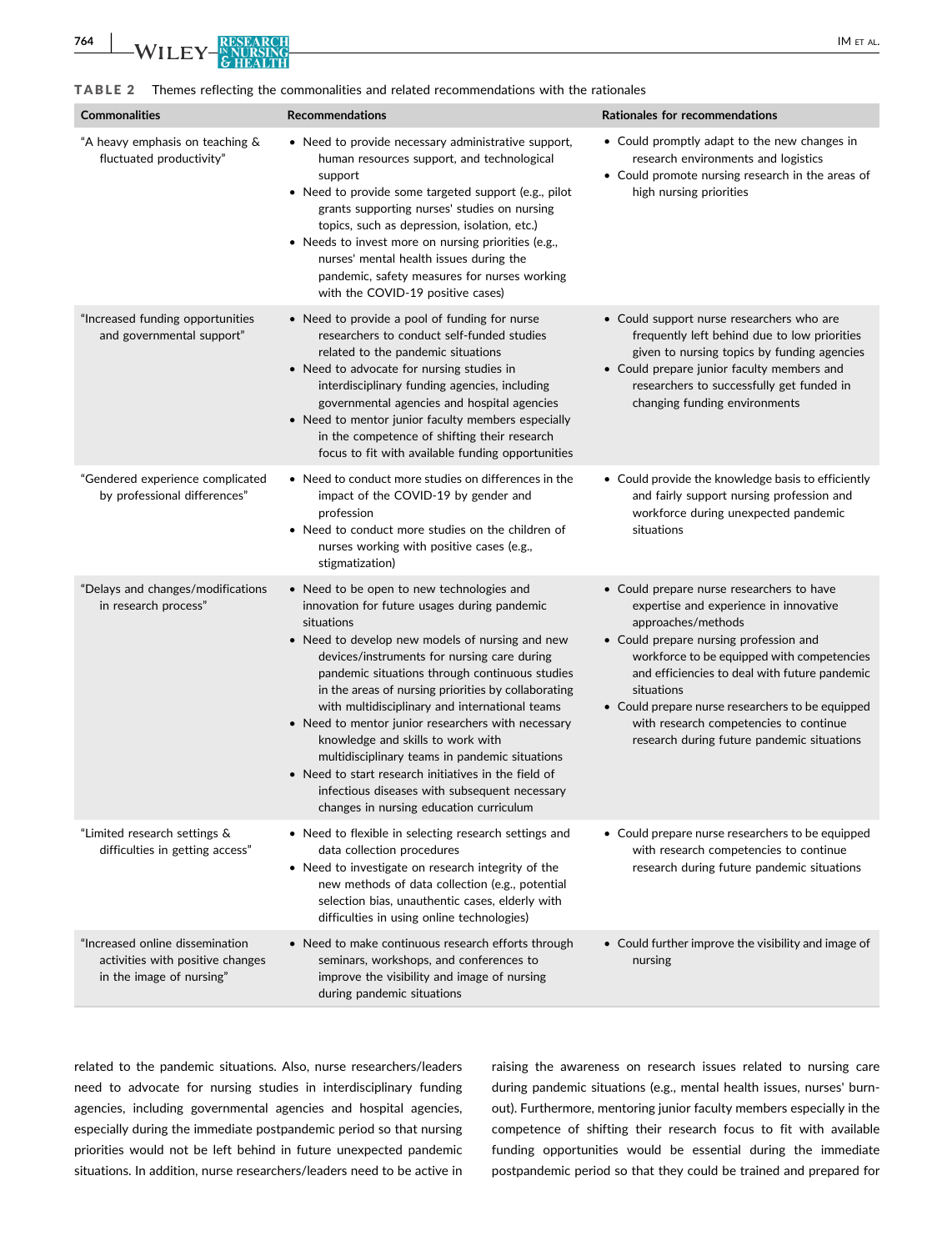<span id="page-6-0"></span>TABLE 2 Themes reflecting the commonalities and related recommendations with the rationales

| <b>Commonalities</b>                                                                            | <b>Recommendations</b>                                                                                                                                                                                                                                                                                                                                                                                                                                                                                                                                                                                                                                                | Rationales for recommendations                                                                                                                                                                                                                                                                                                                                                                               |
|-------------------------------------------------------------------------------------------------|-----------------------------------------------------------------------------------------------------------------------------------------------------------------------------------------------------------------------------------------------------------------------------------------------------------------------------------------------------------------------------------------------------------------------------------------------------------------------------------------------------------------------------------------------------------------------------------------------------------------------------------------------------------------------|--------------------------------------------------------------------------------------------------------------------------------------------------------------------------------------------------------------------------------------------------------------------------------------------------------------------------------------------------------------------------------------------------------------|
| "A heavy emphasis on teaching &<br>fluctuated productivity"                                     | • Need to provide necessary administrative support,<br>human resources support, and technological<br>support<br>• Need to provide some targeted support (e.g., pilot<br>grants supporting nurses' studies on nursing<br>topics, such as depression, isolation, etc.)<br>• Needs to invest more on nursing priorities (e.g.,<br>nurses' mental health issues during the<br>pandemic, safety measures for nurses working<br>with the COVID-19 positive cases)                                                                                                                                                                                                           | • Could promptly adapt to the new changes in<br>research environments and logistics<br>• Could promote nursing research in the areas of<br>high nursing priorities                                                                                                                                                                                                                                           |
| "Increased funding opportunities<br>and governmental support"                                   | • Need to provide a pool of funding for nurse<br>researchers to conduct self-funded studies<br>related to the pandemic situations<br>• Need to advocate for nursing studies in<br>interdisciplinary funding agencies, including<br>governmental agencies and hospital agencies<br>• Need to mentor junior faculty members especially<br>in the competence of shifting their research<br>focus to fit with available funding opportunities                                                                                                                                                                                                                             | • Could support nurse researchers who are<br>frequently left behind due to low priorities<br>given to nursing topics by funding agencies<br>• Could prepare junior faculty members and<br>researchers to successfully get funded in<br>changing funding environments                                                                                                                                         |
| "Gendered experience complicated<br>by professional differences"                                | • Need to conduct more studies on differences in the<br>impact of the COVID-19 by gender and<br>profession<br>• Need to conduct more studies on the children of<br>nurses working with positive cases (e.g.,<br>stigmatization)                                                                                                                                                                                                                                                                                                                                                                                                                                       | • Could provide the knowledge basis to efficiently<br>and fairly support nursing profession and<br>workforce during unexpected pandemic<br>situations                                                                                                                                                                                                                                                        |
| "Delays and changes/modifications<br>in research process"                                       | • Need to be open to new technologies and<br>innovation for future usages during pandemic<br>situations<br>• Need to develop new models of nursing and new<br>devices/instruments for nursing care during<br>pandemic situations through continuous studies<br>in the areas of nursing priorities by collaborating<br>with multidisciplinary and international teams<br>• Need to mentor junior researchers with necessary<br>knowledge and skills to work with<br>multidisciplinary teams in pandemic situations<br>• Need to start research initiatives in the field of<br>infectious diseases with subsequent necessary<br>changes in nursing education curriculum | • Could prepare nurse researchers to have<br>expertise and experience in innovative<br>approaches/methods<br>• Could prepare nursing profession and<br>workforce to be equipped with competencies<br>and efficiencies to deal with future pandemic<br>situations<br>• Could prepare nurse researchers to be equipped<br>with research competencies to continue<br>research during future pandemic situations |
| "Limited research settings &<br>difficulties in getting access"                                 | • Need to flexible in selecting research settings and<br>data collection procedures<br>• Need to investigate on research integrity of the<br>new methods of data collection (e.g., potential<br>selection bias, unauthentic cases, elderly with<br>difficulties in using online technologies)                                                                                                                                                                                                                                                                                                                                                                         | • Could prepare nurse researchers to be equipped<br>with research competencies to continue<br>research during future pandemic situations                                                                                                                                                                                                                                                                     |
| "Increased online dissemination<br>activities with positive changes<br>in the image of nursing" | • Need to make continuous research efforts through<br>seminars, workshops, and conferences to<br>improve the visibility and image of nursing<br>during pandemic situations                                                                                                                                                                                                                                                                                                                                                                                                                                                                                            | • Could further improve the visibility and image of<br>nursing                                                                                                                                                                                                                                                                                                                                               |

related to the pandemic situations. Also, nurse researchers/leaders need to advocate for nursing studies in interdisciplinary funding agencies, including governmental agencies and hospital agencies, especially during the immediate postpandemic period so that nursing priorities would not be left behind in future unexpected pandemic situations. In addition, nurse researchers/leaders need to be active in

raising the awareness on research issues related to nursing care during pandemic situations (e.g., mental health issues, nurses' burnout). Furthermore, mentoring junior faculty members especially in the competence of shifting their research focus to fit with available funding opportunities would be essential during the immediate postpandemic period so that they could be trained and prepared for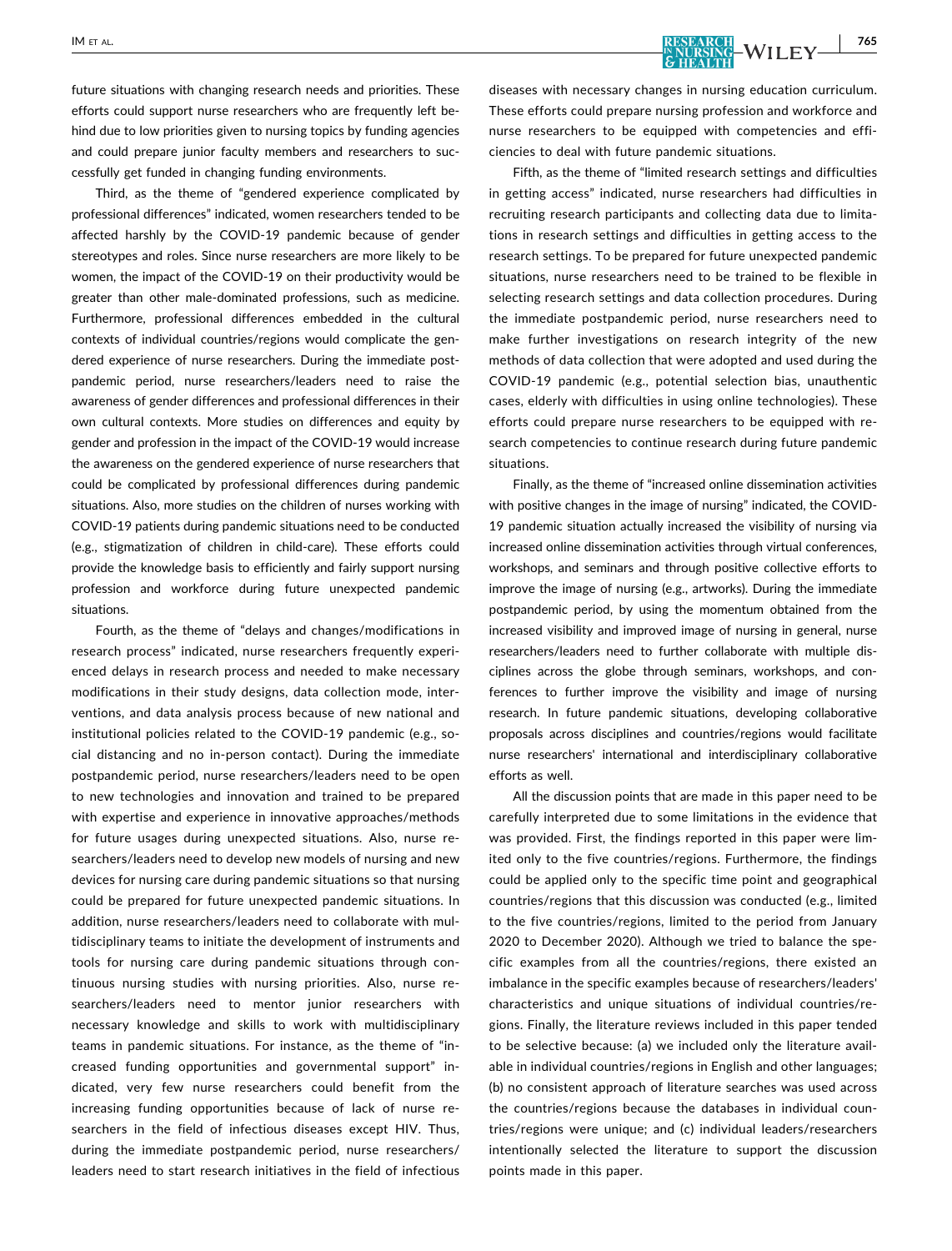future situations with changing research needs and priorities. These efforts could support nurse researchers who are frequently left behind due to low priorities given to nursing topics by funding agencies and could prepare junior faculty members and researchers to successfully get funded in changing funding environments.

Third, as the theme of "gendered experience complicated by professional differences" indicated, women researchers tended to be affected harshly by the COVID‐19 pandemic because of gender stereotypes and roles. Since nurse researchers are more likely to be women, the impact of the COVID‐19 on their productivity would be greater than other male‐dominated professions, such as medicine. Furthermore, professional differences embedded in the cultural contexts of individual countries/regions would complicate the gendered experience of nurse researchers. During the immediate postpandemic period, nurse researchers/leaders need to raise the awareness of gender differences and professional differences in their own cultural contexts. More studies on differences and equity by gender and profession in the impact of the COVID‐19 would increase the awareness on the gendered experience of nurse researchers that could be complicated by professional differences during pandemic situations. Also, more studies on the children of nurses working with COVID‐19 patients during pandemic situations need to be conducted (e.g., stigmatization of children in child‐care). These efforts could provide the knowledge basis to efficiently and fairly support nursing profession and workforce during future unexpected pandemic situations.

Fourth, as the theme of "delays and changes/modifications in research process" indicated, nurse researchers frequently experienced delays in research process and needed to make necessary modifications in their study designs, data collection mode, interventions, and data analysis process because of new national and institutional policies related to the COVID‐19 pandemic (e.g., social distancing and no in‐person contact). During the immediate postpandemic period, nurse researchers/leaders need to be open to new technologies and innovation and trained to be prepared with expertise and experience in innovative approaches/methods for future usages during unexpected situations. Also, nurse researchers/leaders need to develop new models of nursing and new devices for nursing care during pandemic situations so that nursing could be prepared for future unexpected pandemic situations. In addition, nurse researchers/leaders need to collaborate with multidisciplinary teams to initiate the development of instruments and tools for nursing care during pandemic situations through continuous nursing studies with nursing priorities. Also, nurse researchers/leaders need to mentor junior researchers with necessary knowledge and skills to work with multidisciplinary teams in pandemic situations. For instance, as the theme of "increased funding opportunities and governmental support" indicated, very few nurse researchers could benefit from the increasing funding opportunities because of lack of nurse researchers in the field of infectious diseases except HIV. Thus, during the immediate postpandemic period, nurse researchers/ leaders need to start research initiatives in the field of infectious diseases with necessary changes in nursing education curriculum. These efforts could prepare nursing profession and workforce and nurse researchers to be equipped with competencies and efficiencies to deal with future pandemic situations.

Fifth, as the theme of "limited research settings and difficulties in getting access" indicated, nurse researchers had difficulties in recruiting research participants and collecting data due to limitations in research settings and difficulties in getting access to the research settings. To be prepared for future unexpected pandemic situations, nurse researchers need to be trained to be flexible in selecting research settings and data collection procedures. During the immediate postpandemic period, nurse researchers need to make further investigations on research integrity of the new methods of data collection that were adopted and used during the COVID‐19 pandemic (e.g., potential selection bias, unauthentic cases, elderly with difficulties in using online technologies). These efforts could prepare nurse researchers to be equipped with research competencies to continue research during future pandemic situations.

Finally, as the theme of "increased online dissemination activities with positive changes in the image of nursing" indicated, the COVID‐ 19 pandemic situation actually increased the visibility of nursing via increased online dissemination activities through virtual conferences, workshops, and seminars and through positive collective efforts to improve the image of nursing (e.g., artworks). During the immediate postpandemic period, by using the momentum obtained from the increased visibility and improved image of nursing in general, nurse researchers/leaders need to further collaborate with multiple disciplines across the globe through seminars, workshops, and conferences to further improve the visibility and image of nursing research. In future pandemic situations, developing collaborative proposals across disciplines and countries/regions would facilitate nurse researchers' international and interdisciplinary collaborative efforts as well.

All the discussion points that are made in this paper need to be carefully interpreted due to some limitations in the evidence that was provided. First, the findings reported in this paper were limited only to the five countries/regions. Furthermore, the findings could be applied only to the specific time point and geographical countries/regions that this discussion was conducted (e.g., limited to the five countries/regions, limited to the period from January 2020 to December 2020). Although we tried to balance the specific examples from all the countries/regions, there existed an imbalance in the specific examples because of researchers/leaders' characteristics and unique situations of individual countries/regions. Finally, the literature reviews included in this paper tended to be selective because: (a) we included only the literature available in individual countries/regions in English and other languages; (b) no consistent approach of literature searches was used across the countries/regions because the databases in individual countries/regions were unique; and (c) individual leaders/researchers intentionally selected the literature to support the discussion points made in this paper.